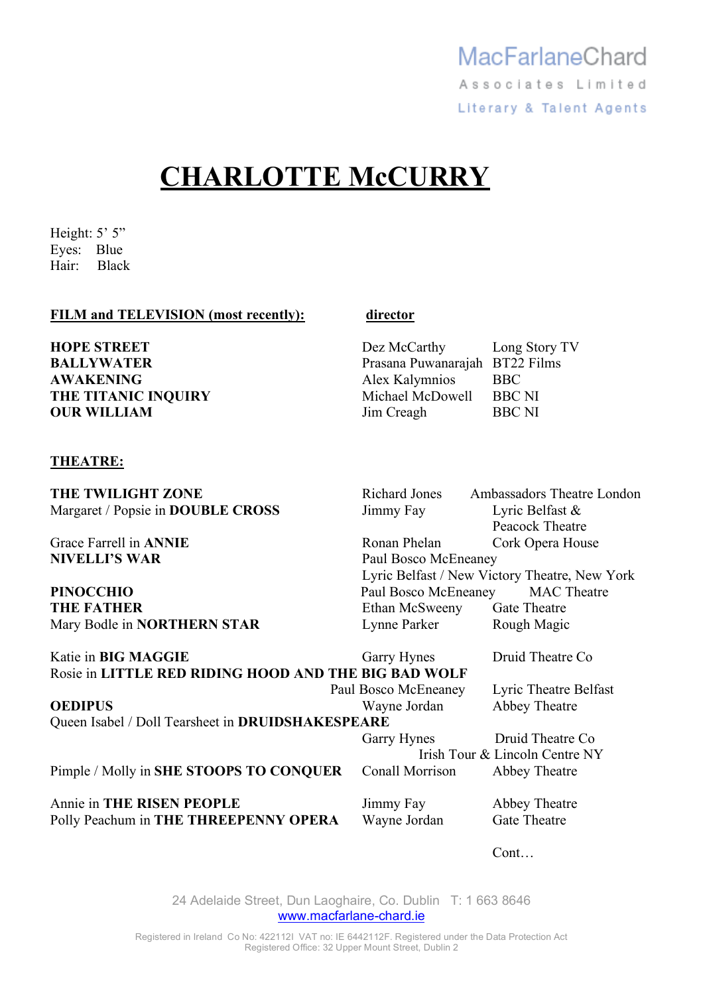# **CHARLOTTE McCURRY**

Height: 5' 5" Eyes: Blue Hair: Black

## **FILM and TELEVISION (most recently): director**

| <b>HOPE STREET</b>  | Dez McCarthy                   | Long Story TV |
|---------------------|--------------------------------|---------------|
| <b>BALLYWATER</b>   | Prasana Puwanarajah BT22 Films |               |
| <b>AWAKENING</b>    | Alex Kalymnios                 | <b>BBC</b>    |
| THE TITANIC INQUIRY | Michael McDowell               | <b>BBC NI</b> |
| <b>OUR WILLIAM</b>  | Jim Creagh                     | <b>BBC NI</b> |
|                     |                                |               |

## **THEATRE:**

Margaret / Popsie in **DOUBLE CROSS** Jimmy Fay Lyric Belfast &

**THE TWILIGHT ZONE** Richard Jones Ambassadors Theatre London Peacock Theatre Grace Farrell in **ANNIE Ronan Phelan** Cork Opera House **NIVELLI'S WAR**  Paul Bosco McEneaney Lyric Belfast / New Victory Theatre, New York **PINOCCHIO** Paul Bosco McEneaney MAC Theatre **THE FATHER** Ethan McSweeny Gate Theatre Mary Bodle in **NORTHERN STAR** Lynne Parker Rough Magic

Katie in **BIG MAGGIE** Garry Hynes Druid Theatre Co Rosie in **LITTLE RED RIDING HOOD AND THE BIG BAD WOLF**  Paul Bosco McEneaney Lyric Theatre Belfast **OEDIPUS** Wayne Jordan Abbey Theatre Queen Isabel / Doll Tearsheet in **DRUIDSHAKESPEARE**  Garry Hynes Druid Theatre Co Irish Tour & Lincoln Centre NY Pimple / Molly in **SHE STOOPS TO CONQUER** Conall Morrison Abbey Theatre Annie in **THE RISEN PEOPLE** Jimmy Fay Abbey Theatre Polly Peachum in **THE THREEPENNY OPERA** Wayne Jordan Gate Theatre

Cont…

24 Adelaide Street, Dun Laoghaire, Co. Dublin T: 1 663 8646 www.macfarlane-chard.ie